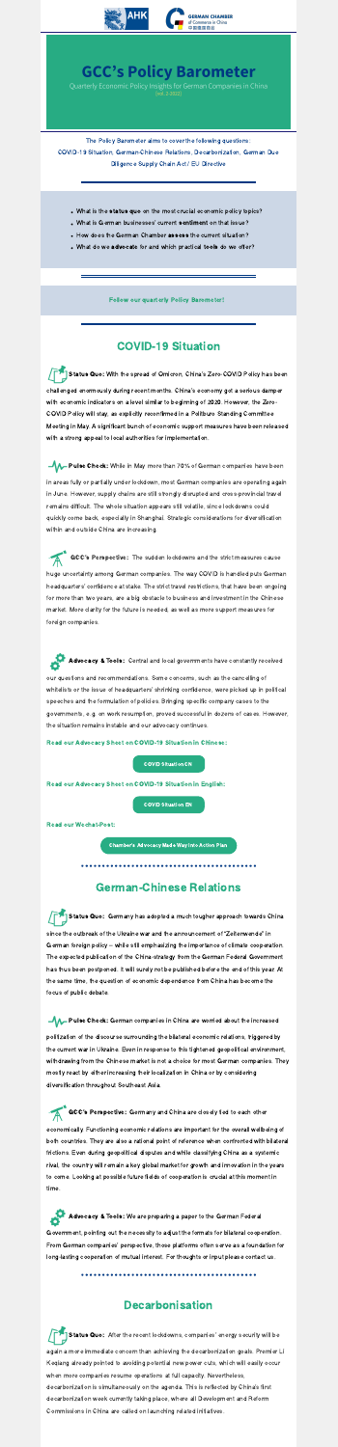

## **GCC's Policy Barometer**

Quarterly Economic Policy Insights for German Companies in China [vol. 2-2022]

The Policy Barometer aims to cover the following questions: COVID-19 Situation, German-Chinese Relations, Decarbonization, German Due Diligence Supply Chain Act / EU Directive

- What is the **status quo** on the most crucial economic policy topics?<br>What is German businesses' current **sentiment** on that issue?
- 
- How does the German Chamber assess the current situation?
- What do we advocate for and which practical tools do we offer?

#### Follow our quarterly Policy Barometer!

#### COVID-19 Situation

**-4 A** Pulse Check: While in May more than 70% of German companies have been in areas fully or partially under lockdown, most German companies are operating again in June. However, supply chains are still strongly disrupted and cross-provincial travel remains difficult. The whole situation appears still volatile, since lockdowns could

Status Quo: With the spread of Omicron, China's Zero-COVID Policy has been challenged enormously during recent months. China's economy got <sup>a</sup> serious damper with economic indicators on a level similar to beginning of 2020. However, the Zero-COVID Policy will stay, as explicitly reconfirmed in a Politburo Standing Committee Meeting in May. A significant bunch of economic support measures have been released with a strong appeal to local authorities for implementation.

Advocacy & Tools: Central and local governments have constantly received our questions and recommendations. Some concerns, such as the cancelling of whitelists or the issue of headquarters' shrinking confidence, were picked up in political speeches and the formulation of policies. Bringing specific company cases to the governments, e.g. on work resumption, proved successful in dozens of cases. However, the situation remains instable and our advocacy continues.

quickly come back, especially in Shanghai. Strategic considerations for diversification within and outside China are increasing.

Status Quo: Germany has adopted a much tougher approach towards China since the outbreak of the Ukraine war and the announcement of "Zeitenwende" in German foreign policy – while still emphasizing the importance of climate cooperation. The expected publication of the China-strategy from the German Federal Government has thus been postponed. It will surely not be published before the end of this year. At the same time, the question of economic dependence from China has become the focus of public debate.

Pulse Check: German companies in China are worried about the increased

GCC's Perspective: The sudden lockdowns and the strict measures cause huge uncertainty among German companies. The way COVID is handled puts German headquarters' confidence at stake. The strict travel restrictions, that have been ongoing for more than two years, are a big obstacle to business and investment in the Chinese market. More clarity for the future is needed, as well as more support measures for foreign companies.

Advocacy & Tools: We are preparing a paper to the German Federal Government, pointing out the necessity to adjust the formats for bilateral cooperation. From German companies' perspective, those platforms often serve as <sup>a</sup> foundation for long-lasting cooperation of mutual interest. For thoughts or input please contact us.

Read our Advocacy Sheet on COVID-19 Situation in Chinese:

COVID [Situation](https://filehub.admiralcloud.com/dl/5/58344741-f788-4a62-a42d-d2e41071381a) CN

Read our Advocacy Sheet on COVID-19 Situation in English:

COVID [Situation](https://filehub.admiralcloud.com/dl/5/67b7391a-4c88-432e-854c-16b73b3798c4) EN

Status Quo: After the recent lockdowns, companies' energy security will be again a more immediate concern than achieving the decarbonization goals. Premier Li Keqiang already pointed to avoiding potential new power cuts, which will easily occur when more companies resume operations at full capacity. Nevertheless, decarbonization is simultaneously on the agenda. This is reflected by China's first decarbonization week currently taking place, where all Development and Reform Commissions in China are called on launching related initiatives.

Read our Wechat-Post:

[Chamber's](https://mp.weixin.qq.com/s/KFoSFIQAQvvrQpEgDEgJXA) Advocacy Made Way Into Action Plan

## German-Chinese Relations

politization of the discourse surrounding the bilateral economic relations, triggered by the current war in Ukraine. Even in response to this tightened geopolitical environment, withdrawing from the Chinese market is not a choice for most German companies. They mostly react by either increasing their localization in China or by considering diversification throughout Southeast Asia.

GCC's Perspective: Germany and China are closely tied to each other economically. Functioning economic relations are important for the overall wellbeing of both countries. They are also a rational point of reference when confronted with bilateral frictions. Even during geopolitical disputes and while classifying China as a systemic rival, the country will remain a key global market for growth and innovation in the years to come. Looking at possible future fields of cooperation is crucial at this moment in time.

#### Decarbonisation